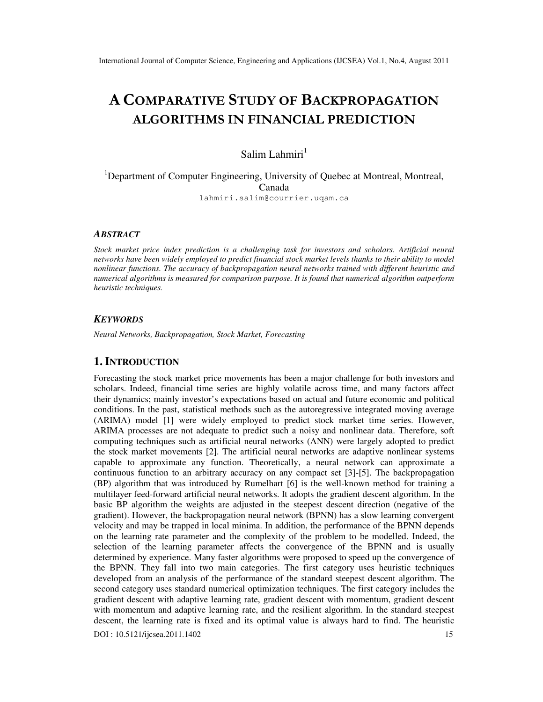# A COMPARATIVE STUDY OF BACKPROPAGATION ALGORITHMS IN FINANCIAL PREDICTION

# Salim Lahmiri $<sup>1</sup>$ </sup>

<sup>1</sup>Department of Computer Engineering, University of Quebec at Montreal, Montreal, Canada lahmiri.salim@courrier.uqam.ca

### *ABSTRACT*

*Stock market price index prediction is a challenging task for investors and scholars. Artificial neural networks have been widely employed to predict financial stock market levels thanks to their ability to model nonlinear functions. The accuracy of backpropagation neural networks trained with different heuristic and numerical algorithms is measured for comparison purpose. It is found that numerical algorithm outperform heuristic techniques.* 

#### *KEYWORDS*

*Neural Networks, Backpropagation, Stock Market, Forecasting* 

## **1. INTRODUCTION**

Forecasting the stock market price movements has been a major challenge for both investors and scholars. Indeed, financial time series are highly volatile across time, and many factors affect their dynamics; mainly investor's expectations based on actual and future economic and political conditions. In the past, statistical methods such as the autoregressive integrated moving average (ARIMA) model [1] were widely employed to predict stock market time series. However, ARIMA processes are not adequate to predict such a noisy and nonlinear data. Therefore, soft computing techniques such as artificial neural networks (ANN) were largely adopted to predict the stock market movements [2]. The artificial neural networks are adaptive nonlinear systems capable to approximate any function. Theoretically, a neural network can approximate a continuous function to an arbitrary accuracy on any compact set [3]-[5]. The backpropagation (BP) algorithm that was introduced by Rumelhart [6] is the well-known method for training a multilayer feed-forward artificial neural networks. It adopts the gradient descent algorithm. In the basic BP algorithm the weights are adjusted in the steepest descent direction (negative of the gradient). However, the backpropagation neural network (BPNN) has a slow learning convergent velocity and may be trapped in local minima. In addition, the performance of the BPNN depends on the learning rate parameter and the complexity of the problem to be modelled. Indeed, the selection of the learning parameter affects the convergence of the BPNN and is usually determined by experience. Many faster algorithms were proposed to speed up the convergence of the BPNN. They fall into two main categories. The first category uses heuristic techniques developed from an analysis of the performance of the standard steepest descent algorithm. The second category uses standard numerical optimization techniques. The first category includes the gradient descent with adaptive learning rate, gradient descent with momentum, gradient descent with momentum and adaptive learning rate, and the resilient algorithm. In the standard steepest descent, the learning rate is fixed and its optimal value is always hard to find. The heuristic

DOI : 10.5121/ijcsea.2011.1402 15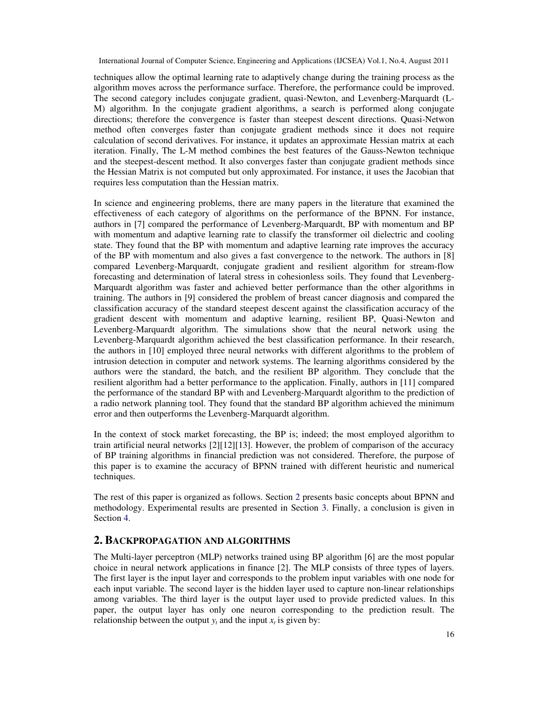techniques allow the optimal learning rate to adaptively change during the training process as the algorithm moves across the performance surface. Therefore, the performance could be improved. The second category includes conjugate gradient, quasi-Newton, and Levenberg-Marquardt (L-M) algorithm. In the conjugate gradient algorithms, a search is performed along conjugate directions; therefore the convergence is faster than steepest descent directions. Quasi-Netwon method often converges faster than conjugate gradient methods since it does not require calculation of second derivatives. For instance, it updates an approximate Hessian matrix at each iteration. Finally, The L-M method combines the best features of the Gauss-Newton technique and the steepest-descent method. It also converges faster than conjugate gradient methods since the Hessian Matrix is not computed but only approximated. For instance, it uses the Jacobian that requires less computation than the Hessian matrix.

In science and engineering problems, there are many papers in the literature that examined the effectiveness of each category of algorithms on the performance of the BPNN. For instance, authors in [7] compared the performance of Levenberg-Marquardt, BP with momentum and BP with momentum and adaptive learning rate to classify the transformer oil dielectric and cooling state. They found that the BP with momentum and adaptive learning rate improves the accuracy of the BP with momentum and also gives a fast convergence to the network. The authors in [8] compared Levenberg-Marquardt, conjugate gradient and resilient algorithm for stream-flow forecasting and determination of lateral stress in cohesionless soils. They found that Levenberg-Marquardt algorithm was faster and achieved better performance than the other algorithms in training. The authors in [9] considered the problem of breast cancer diagnosis and compared the classification accuracy of the standard steepest descent against the classification accuracy of the gradient descent with momentum and adaptive learning, resilient BP, Quasi-Newton and Levenberg-Marquardt algorithm. The simulations show that the neural network using the Levenberg-Marquardt algorithm achieved the best classification performance. In their research, the authors in [10] employed three neural networks with different algorithms to the problem of intrusion detection in computer and network systems. The learning algorithms considered by the authors were the standard, the batch, and the resilient BP algorithm. They conclude that the resilient algorithm had a better performance to the application. Finally, authors in [11] compared the performance of the standard BP with and Levenberg-Marquardt algorithm to the prediction of a radio network planning tool. They found that the standard BP algorithm achieved the minimum error and then outperforms the Levenberg-Marquardt algorithm.

In the context of stock market forecasting, the BP is; indeed; the most employed algorithm to train artificial neural networks [2][12][13]. However, the problem of comparison of the accuracy of BP training algorithms in financial prediction was not considered. Therefore, the purpose of this paper is to examine the accuracy of BPNN trained with different heuristic and numerical techniques.

The rest of this paper is organized as follows. Section 2 presents basic concepts about BPNN and methodology. Experimental results are presented in Section 3. Finally, a conclusion is given in Section 4.

# **2. BACKPROPAGATION AND ALGORITHMS**

The Multi-layer perceptron (MLP) networks trained using BP algorithm [6] are the most popular choice in neural network applications in finance [2]. The MLP consists of three types of layers. The first layer is the input layer and corresponds to the problem input variables with one node for each input variable. The second layer is the hidden layer used to capture non-linear relationships among variables. The third layer is the output layer used to provide predicted values. In this paper, the output layer has only one neuron corresponding to the prediction result. The relationship between the output  $y_t$  and the input  $x_t$  is given by: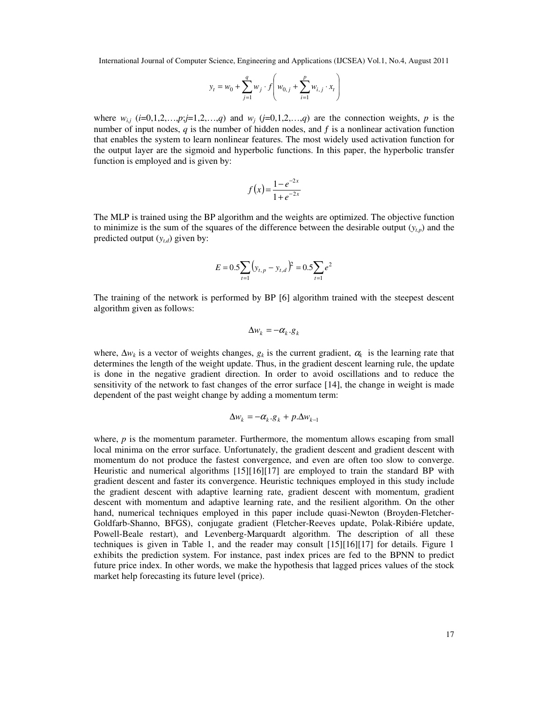$$
y_t = w_0 + \sum_{j=1}^q w_j \cdot f\left(w_{0,j} + \sum_{i=1}^p w_{i,j} \cdot x_t\right)
$$

where  $w_{i,j}$  ( $i=0,1,2,...,p; j=1,2,...,q$ ) and  $w_j$  ( $j=0,1,2,...,q$ ) are the connection weights,  $p$  is the number of input nodes,  $q$  is the number of hidden nodes, and  $f$  is a nonlinear activation function that enables the system to learn nonlinear features. The most widely used activation function for the output layer are the sigmoid and hyperbolic functions. In this paper, the hyperbolic transfer function is employed and is given by:

$$
f(x) = \frac{1 - e^{-2x}}{1 + e^{-2x}}
$$

The MLP is trained using the BP algorithm and the weights are optimized. The objective function to minimize is the sum of the squares of the difference between the desirable output  $(y<sub>tp</sub>)$  and the predicted output  $(y_{t,d})$  given by:

$$
E = 0.5 \sum_{t=1}^{\infty} (y_{t,p} - y_{t,d})^2 = 0.5 \sum_{t=1}^{\infty} e^2
$$

The training of the network is performed by BP [6] algorithm trained with the steepest descent algorithm given as follows:

$$
\Delta w_k = -\alpha_k.g_k
$$

where,  $\Delta w_k$  is a vector of weights changes,  $g_k$  is the current gradient,  $\alpha_k$  is the learning rate that determines the length of the weight update. Thus, in the gradient descent learning rule, the update is done in the negative gradient direction. In order to avoid oscillations and to reduce the sensitivity of the network to fast changes of the error surface [14], the change in weight is made dependent of the past weight change by adding a momentum term:

$$
\Delta w_k = -\alpha_k \cdot g_k + p \cdot \Delta w_{k-1}
$$

where,  $p$  is the momentum parameter. Furthermore, the momentum allows escaping from small local minima on the error surface. Unfortunately, the gradient descent and gradient descent with momentum do not produce the fastest convergence, and even are often too slow to converge. Heuristic and numerical algorithms [15][16][17] are employed to train the standard BP with gradient descent and faster its convergence. Heuristic techniques employed in this study include the gradient descent with adaptive learning rate, gradient descent with momentum, gradient descent with momentum and adaptive learning rate, and the resilient algorithm. On the other hand, numerical techniques employed in this paper include quasi-Newton (Broyden-Fletcher-Goldfarb-Shanno, BFGS), conjugate gradient (Fletcher-Reeves update, Polak-Ribiére update, Powell-Beale restart), and Levenberg-Marquardt algorithm. The description of all these techniques is given in Table 1, and the reader may consult [15][16][17] for details. Figure 1 exhibits the prediction system. For instance, past index prices are fed to the BPNN to predict future price index. In other words, we make the hypothesis that lagged prices values of the stock market help forecasting its future level (price).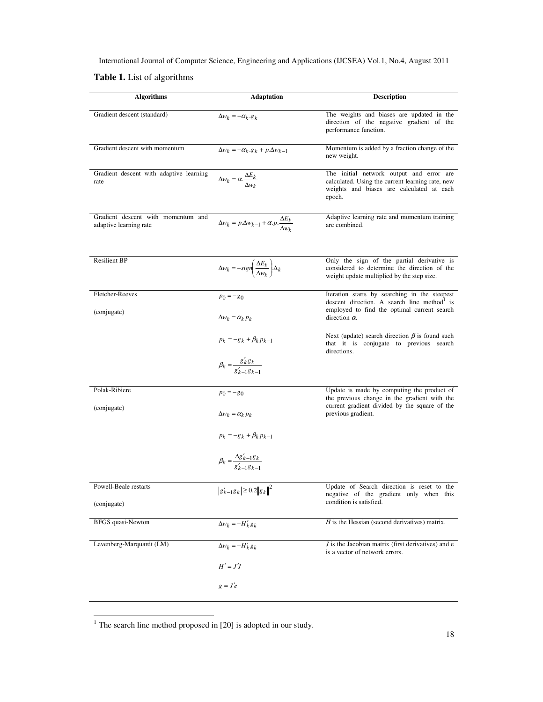**Table 1.** List of algorithms

| <b>Algorithms</b>                                            | <b>Adaptation</b>                                                          | <b>Description</b>                                                                                                                                  |
|--------------------------------------------------------------|----------------------------------------------------------------------------|-----------------------------------------------------------------------------------------------------------------------------------------------------|
| Gradient descent (standard)                                  | $\Delta w_k = -\alpha_k \cdot g_k$                                         | The weights and biases are updated in the<br>direction of the negative gradient of the<br>performance function.                                     |
| Gradient descent with momentum                               | $\Delta w_k = -\alpha_k \cdot g_k + p \cdot \Delta w_{k-1}$                | Momentum is added by a fraction change of the<br>new weight.                                                                                        |
| Gradient descent with adaptive learning<br>rate              | $\Delta w_k = \alpha \cdot \frac{\Delta E_k}{\Delta w_k}$                  | The initial network output and error are<br>calculated. Using the current learning rate, new<br>weights and biases are calculated at each<br>epoch. |
| Gradient descent with momentum and<br>adaptive learning rate | $\Delta w_k = p.\Delta w_{k-1} + \alpha.p.\frac{\Delta E_k}{\Delta w_k}$   | Adaptive learning rate and momentum training<br>are combined.                                                                                       |
| <b>Resilient BP</b>                                          | $\Delta w_k = -sign \left( \frac{\Delta E_k}{\Delta w_k} \right) \Delta_k$ | Only the sign of the partial derivative is<br>considered to determine the direction of the<br>weight update multiplied by the step size.            |
| Fletcher-Reeves                                              | $p_0 = -g_0$                                                               | Iteration starts by searching in the steepest<br>descent direction. A search line method is                                                         |
| (conjugate)                                                  | $\Delta w_k = \alpha_k p_k$                                                | employed to find the optimal current search<br>direction $\alpha$ .                                                                                 |
|                                                              | $p_k = -g_k + \beta_k p_{k-1}$                                             | Next (update) search direction $\beta$ is found such<br>that it is conjugate to previous search<br>directions.                                      |
|                                                              | $\beta_k = \frac{g'_k g_k}{g'_{k-1} g_{k-1}}$                              |                                                                                                                                                     |
| Polak-Ribiere                                                | $p_0 = -g_0$                                                               | Update is made by computing the product of<br>the previous change in the gradient with the<br>current gradient divided by the square of the         |
| (conjugate)                                                  | $\Delta w_k = \alpha_k p_k$                                                | previous gradient.                                                                                                                                  |
|                                                              | $p_k = -g_k + \beta_k p_{k-1}$                                             |                                                                                                                                                     |
|                                                              | $\beta_k = \frac{\Delta g'_{k-1}g_k}{g'_{k-1}g_{k-1}}$                     |                                                                                                                                                     |
| Powell-Beale restarts                                        | $ g'_{k-1}g_k  \ge 0.2   g_k  ^2$                                          | Update of Search direction is reset to the<br>negative of the gradient only when this                                                               |
| (conjugate)                                                  |                                                                            | condition is satisfied.                                                                                                                             |
| <b>BFGS</b> quasi-Newton                                     | $\Delta w_k = -H'_k g_k$                                                   | $H$ is the Hessian (second derivatives) matrix.                                                                                                     |
| Levenberg-Marquardt (LM)                                     | $\Delta w_k = -H'_k g_k$                                                   | $J$ is the Jacobian matrix (first derivatives) and $e$<br>is a vector of network errors.                                                            |
|                                                              | $H' = J'J$                                                                 |                                                                                                                                                     |
|                                                              | $g = J'e$                                                                  |                                                                                                                                                     |

<sup>1</sup> The search line method proposed in [20] is adopted in our study.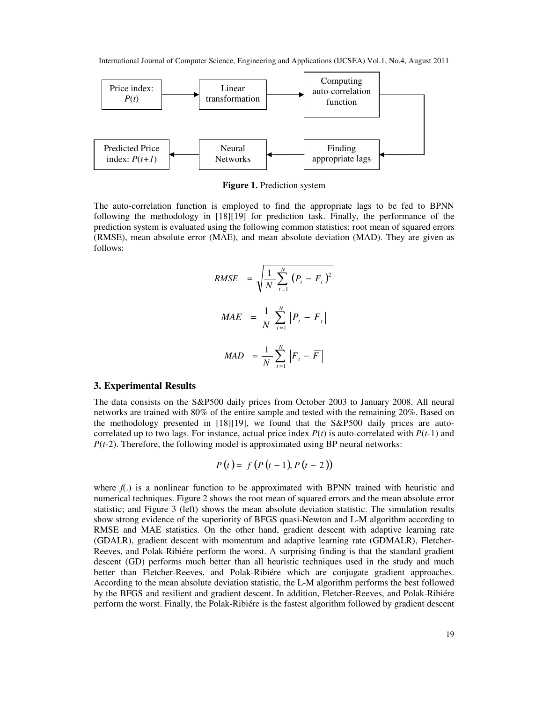

**Figure 1.** Prediction system

The auto-correlation function is employed to find the appropriate lags to be fed to BPNN following the methodology in [18][19] for prediction task. Finally, the performance of the prediction system is evaluated using the following common statistics: root mean of squared errors (RMSE), mean absolute error (MAE), and mean absolute deviation (MAD). They are given as follows:

$$
RMSE = \sqrt{\frac{1}{N} \sum_{t=1}^{N} (P_t - F_t)^2}
$$

\n
$$
MAE = \frac{1}{N} \sum_{t=1}^{N} |P_t - F_t|
$$

\n
$$
MAD = \frac{1}{N} \sum_{t=1}^{N} |F_t - \overline{F}|
$$

#### **3. Experimental Results**

The data consists on the S&P500 daily prices from October 2003 to January 2008. All neural networks are trained with 80% of the entire sample and tested with the remaining 20%. Based on the methodology presented in [18][19], we found that the S&P500 daily prices are autocorrelated up to two lags. For instance, actual price index  $P(t)$  is auto-correlated with  $P(t-1)$  and *P*(*t*-2). Therefore, the following model is approximated using BP neural networks:

$$
P(t) = f(P(t-1), P(t-2))
$$

where  $f(.)$  is a nonlinear function to be approximated with BPNN trained with heuristic and numerical techniques. Figure 2 shows the root mean of squared errors and the mean absolute error statistic; and Figure 3 (left) shows the mean absolute deviation statistic. The simulation results show strong evidence of the superiority of BFGS quasi-Newton and L-M algorithm according to RMSE and MAE statistics. On the other hand, gradient descent with adaptive learning rate (GDALR), gradient descent with momentum and adaptive learning rate (GDMALR), Fletcher-Reeves, and Polak-Ribiére perform the worst. A surprising finding is that the standard gradient descent (GD) performs much better than all heuristic techniques used in the study and much better than Fletcher-Reeves, and Polak-Ribiére which are conjugate gradient approaches. According to the mean absolute deviation statistic, the L-M algorithm performs the best followed by the BFGS and resilient and gradient descent. In addition, Fletcher-Reeves, and Polak-Ribiére perform the worst. Finally, the Polak-Ribiére is the fastest algorithm followed by gradient descent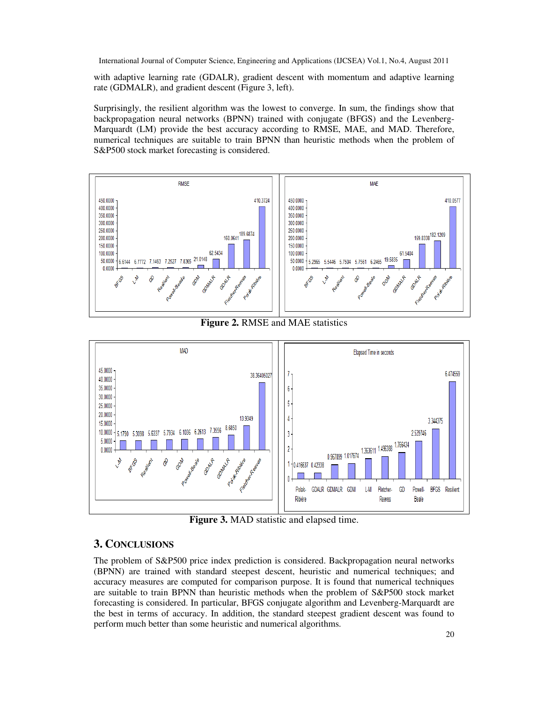with adaptive learning rate (GDALR), gradient descent with momentum and adaptive learning rate (GDMALR), and gradient descent (Figure 3, left).

Surprisingly, the resilient algorithm was the lowest to converge. In sum, the findings show that backpropagation neural networks (BPNN) trained with conjugate (BFGS) and the Levenberg-Marquardt (LM) provide the best accuracy according to RMSE, MAE, and MAD. Therefore, numerical techniques are suitable to train BPNN than heuristic methods when the problem of S&P500 stock market forecasting is considered.





**Figure 3.** MAD statistic and elapsed time.

# **3. CONCLUSIONS**

The problem of S&P500 price index prediction is considered. Backpropagation neural networks (BPNN) are trained with standard steepest descent, heuristic and numerical techniques; and accuracy measures are computed for comparison purpose. It is found that numerical techniques are suitable to train BPNN than heuristic methods when the problem of S&P500 stock market forecasting is considered. In particular, BFGS conjugate algorithm and Levenberg-Marquardt are the best in terms of accuracy. In addition, the standard steepest gradient descent was found to perform much better than some heuristic and numerical algorithms.